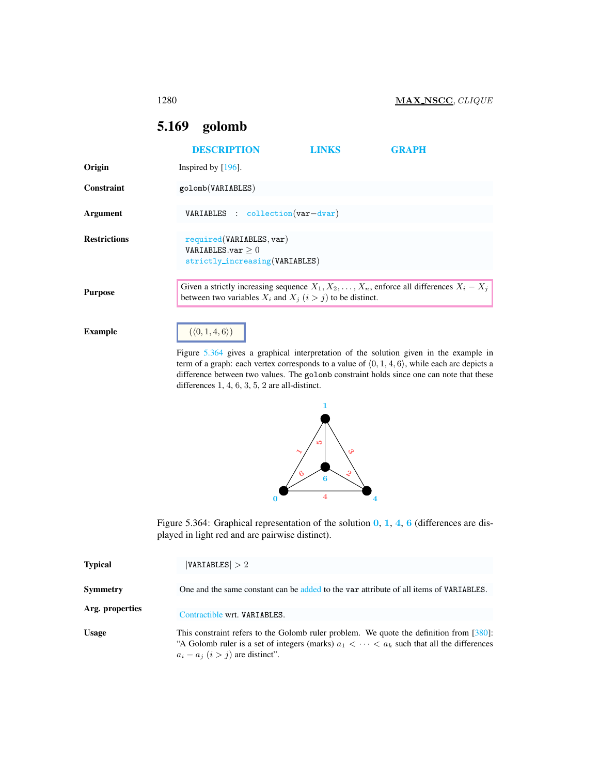## <span id="page-0-0"></span>5.169 golomb

|                     | <b>DESCRIPTION</b>                                                                                                                                                    | <b>LINKS</b> | <b>GRAPH</b> |
|---------------------|-----------------------------------------------------------------------------------------------------------------------------------------------------------------------|--------------|--------------|
| Origin              | Inspired by $[196]$ .                                                                                                                                                 |              |              |
| Constraint          | golomb(VARIABLES)                                                                                                                                                     |              |              |
| Argument            | VARIABLES : $collection(var-dvar)$                                                                                                                                    |              |              |
| <b>Restrictions</b> | required(VARIABLES, var)<br>VARIABLES.var $>0$<br>strictly_increasing(VARIABLES)                                                                                      |              |              |
| <b>Purpose</b>      | Given a strictly increasing sequence $X_1, X_2, \ldots, X_n$ , enforce all differences $X_i - X_j$<br>between two variables $X_i$ and $X_j$ $(i > j)$ to be distinct. |              |              |
| <b>Example</b>      | $(\langle 0, 1, 4, 6 \rangle)$                                                                                                                                        |              |              |

Figure [5.364](#page-0-1) gives a graphical interpretation of the solution given in the example in term of a graph: each vertex corresponds to a value of  $(0, 1, 4, 6)$ , while each arc depicts a difference between two values. The golomb constraint holds since one can note that these differences 1, 4, 6, 3, 5, 2 are all-distinct.



<span id="page-0-1"></span>Figure 5.364: Graphical representation of the solution  $0, 1, 4, 6$  (differences are displayed in light red and are pairwise distinct).

| <b>Typical</b>  | VARIABLES  > 2                                                                                                                                                                                                                        |
|-----------------|---------------------------------------------------------------------------------------------------------------------------------------------------------------------------------------------------------------------------------------|
| <b>Symmetry</b> | One and the same constant can be added to the var attribute of all items of VARIABLES.                                                                                                                                                |
| Arg. properties | Contractible wrt. VARIABLES.                                                                                                                                                                                                          |
| <b>Usage</b>    | This constraint refers to the Golomb ruler problem. We quote the definition from $[380]$ :<br>"A Golomb ruler is a set of integers (marks) $a_1 < \cdots < a_k$ such that all the differences<br>$a_i - a_j$ $(i > j)$ are distinct". |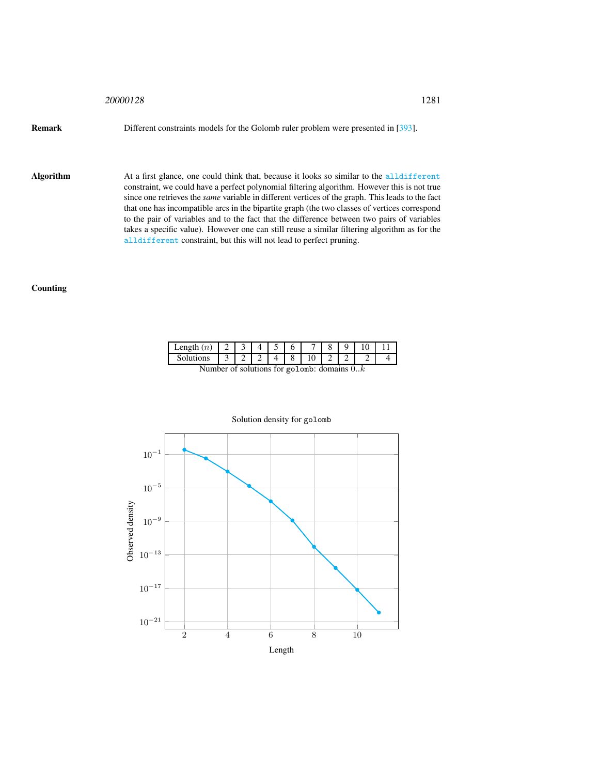## <sup>20000128</sup> 1281

Remark Different constraints models for the Golomb ruler problem were presented in [393].

Algorithm At a first glance, one could think that, because it looks so similar to the alldifferent constraint, we could have a perfect polynomial filtering algorithm. However this is not true since one retrieves the *same* variable in different vertices of the graph. This leads to the fact that one has incompatible arcs in the bipartite graph (the two classes of vertices correspond to the pair of variables and to the fact that the difference between two pairs of variables takes a specific value). However one can still reuse a similar filtering algorithm as for the alldifferent constraint, but this will not lead to perfect pruning.

## Counting

| Length $(n)$   2   3 |                                        |  |  |                                              |  |  |
|----------------------|----------------------------------------|--|--|----------------------------------------------|--|--|
| <b>Solutions</b>     | $\begin{array}{ccc} & 3 & \end{array}$ |  |  |                                              |  |  |
|                      |                                        |  |  | Number of solutions for golomb: domains $0k$ |  |  |

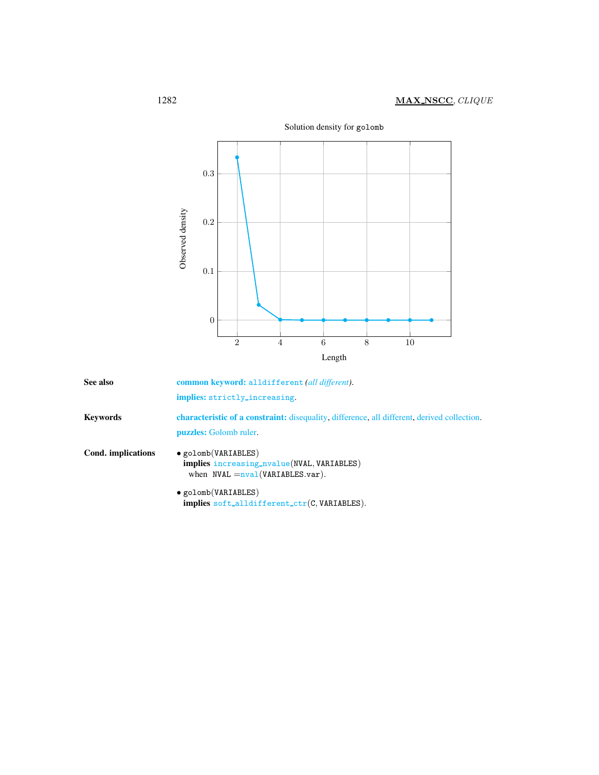

Solution density for golomb

<span id="page-2-0"></span>

| See also           | common keyword: alldifferent (all different).                                                                                       |
|--------------------|-------------------------------------------------------------------------------------------------------------------------------------|
|                    | implies: strictly_increasing.                                                                                                       |
| <b>Keywords</b>    | <b>characteristic of a constraint:</b> disequality, difference, all different, derived collection.<br><b>puzzles:</b> Golomb ruler. |
| Cond. implications | · golomb(VARIABLES)<br><b>implies</b> increasing_nvalue(NVAL, VARIABLES)<br>when $NVAL = \frac{1}{2} (VARIABLES.var).$              |
|                    | $\bullet$ golomb(VARIABLES)<br><b>implies</b> soft_alldifferent_ctr( $C$ , VARIABLES).                                              |
|                    |                                                                                                                                     |